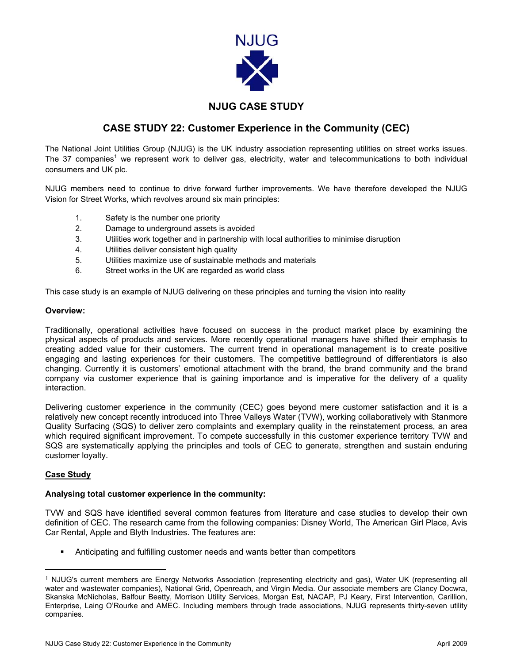

## **NJUG CASE STUDY**

# **CASE STUDY 22: Customer Experience in the Community (CEC)**

The National Joint Utilities Group (NJUG) is the UK industry association representing utilities on street works issues. The37 companies<sup>1</sup> we represent work to deliver gas, electricity, water and telecommunications to both individual consumers and UK plc.

NJUG members need to continue to drive forward further improvements. We have therefore developed the NJUG Vision for Street Works, which revolves around six main principles:

- 1. Safety is the number one priority
- 2. Damage to underground assets is avoided
- 3. Utilities work together and in partnership with local authorities to minimise disruption
- 4. Utilities deliver consistent high quality
- 5. Utilities maximize use of sustainable methods and materials
- 6. Street works in the UK are regarded as world class

This case study is an example of NJUG delivering on these principles and turning the vision into reality

#### **Overview:**

Traditionally, operational activities have focused on success in the product market place by examining the physical aspects of products and services. More recently operational managers have shifted their emphasis to creating added value for their customers. The current trend in operational management is to create positive engaging and lasting experiences for their customers. The competitive battleground of differentiators is also changing. Currently it is customers' emotional attachment with the brand, the brand community and the brand company via customer experience that is gaining importance and is imperative for the delivery of a quality interaction.

Delivering customer experience in the community (CEC) goes beyond mere customer satisfaction and it is a relatively new concept recently introduced into Three Valleys Water (TVW), working collaboratively with Stanmore Quality Surfacing (SQS) to deliver zero complaints and exemplary quality in the reinstatement process, an area which required significant improvement. To compete successfully in this customer experience territory TVW and SQS are systematically applying the principles and tools of CEC to generate, strengthen and sustain enduring customer loyalty.

### **Case Study**

#### **Analysing total customer experience in the community:**

TVW and SQS have identified several common features from literature and case studies to develop their own definition of CEC. The research came from the following companies: Disney World, The American Girl Place, Avis Car Rental, Apple and Blyth Industries. The features are:

Anticipating and fulfilling customer needs and wants better than competitors

<span id="page-0-0"></span><sup>&</sup>lt;sup>1</sup> NJUG's current members are Energy Networks Association (representing electricity and gas), Water UK (representing all water and wastewater companies), National Grid, Openreach, and Virgin Media. Our associate members are Clancy Docwra, Skanska McNicholas, Balfour Beatty, Morrison Utility Services, Morgan Est, NACAP, PJ Keary, First Intervention, Carillion, Enterprise, Laing O'Rourke and AMEC. Including members through trade associations, NJUG represents thirty-seven utility companies.